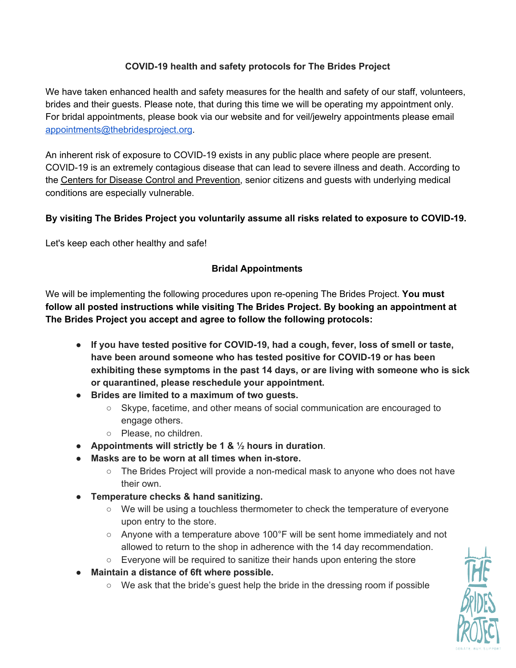# **COVID-19 health and safety protocols for The Brides Project**

We have taken enhanced health and safety measures for the health and safety of our staff, volunteers, brides and their guests. Please note, that during this time we will be operating my appointment only. For bridal appointments, please book via our website and for veil/jewelry appointments please email [appointments@thebridesproject.org](mailto:appointments@thebridesproject.org).

An inherent risk of exposure to COVID-19 exists in any public place where people are present. COVID-19 is an extremely contagious disease that can lead to severe illness and death. According to the Centers for Disease Control and [Prevention,](https://www.cdc.gov/coronavirus/2019-nCoV/index.html) senior citizens and guests with underlying medical conditions are especially vulnerable.

## **By visiting The Brides Project you voluntarily assume all risks related to exposure to COVID-19.**

Let's keep each other healthy and safe!

## **Bridal Appointments**

We will be implementing the following procedures upon re-opening The Brides Project. **You must follow all posted instructions while visiting The Brides Project. By booking an appointment at The Brides Project you accept and agree to follow the following protocols:**

- **● If you have tested positive for COVID-19, had a cough, fever, loss of smell or taste, have been around someone who has tested positive for COVID-19 or has been exhibiting these symptoms in the past 14 days, or are living with someone who is sick or quarantined, please reschedule your appointment.**
- **● Brides are limited to a maximum of two guests.**
	- Skype, facetime, and other means of social communication are encouraged to engage others.
	- Please, no children.
- **Appointments will strictly be 1 & ½ hours in duration**.
- **● Masks are to be worn at all times when in-store.**
	- The Brides Project will provide a non-medical mask to anyone who does not have their own.
- **Temperature checks & hand sanitizing.**
	- We will be using a touchless thermometer to check the temperature of everyone upon entry to the store.
	- $\circ$  Anyone with a temperature above 100°F will be sent home immediately and not allowed to return to the shop in adherence with the 14 day recommendation.
	- Everyone will be required to sanitize their hands upon entering the store
- **● Maintain a distance of 6ft where possible.**
	- $\circ$  We ask that the bride's quest help the bride in the dressing room if possible